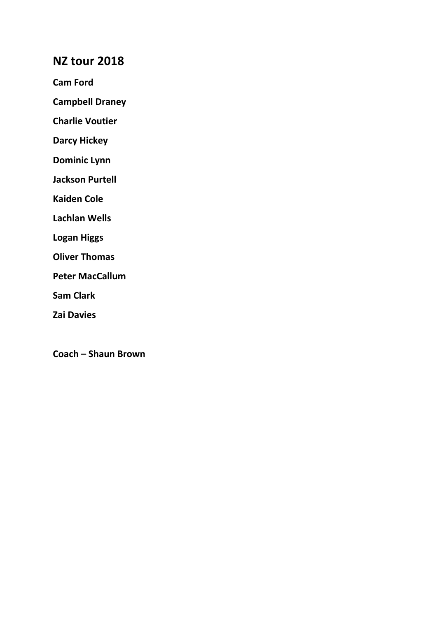# NZ tour 2018

Cam Ford

Campbell Draney

Charlie Voutier

Darcy Hickey

Dominic Lynn

Jackson Purtell

Kaiden Cole

Lachlan Wells

Logan Higgs

Oliver Thomas

Peter MacCallum

Sam Clark

Zai Davies

Coach – Shaun Brown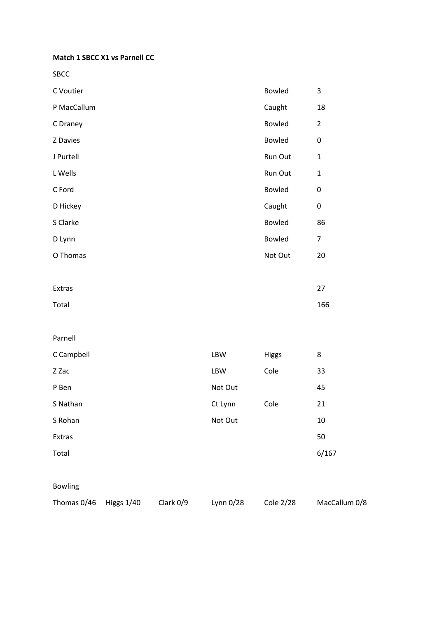Match 1 SBCC X1 vs Parnell CC

SBCC

| C Voutier   | <b>Bowled</b> | 3              |
|-------------|---------------|----------------|
| P MacCallum | Caught        | 18             |
| C Draney    | <b>Bowled</b> | $\overline{2}$ |
| Z Davies    | <b>Bowled</b> | $\pmb{0}$      |
| J Purtell   | Run Out       | $\mathbf{1}$   |
| L Wells     | Run Out       | $\mathbf{1}$   |
| C Ford      | <b>Bowled</b> | 0              |
| D Hickey    | Caught        | 0              |
| S Clarke    | <b>Bowled</b> | 86             |
| D Lynn      | <b>Bowled</b> | $\overline{7}$ |
| O Thomas    | Not Out       | 20             |
|             |               |                |
| Extras      |               | 27             |
| Total       |               | 166            |

### Parnell

| C Campbell | LBW     | <b>Higgs</b> | 8     |
|------------|---------|--------------|-------|
| Z Zac      | LBW     | Cole         | 33    |
| P Ben      | Not Out |              | 45    |
| S Nathan   | Ct Lynn | Cole         | 21    |
| S Rohan    | Not Out |              | 10    |
| Extras     |         |              | 50    |
| Total      |         |              | 6/167 |
|            |         |              |       |

## Bowling

Thomas 0/46 Higgs 1/40 Clark 0/9 Lynn 0/28 Cole 2/28 MacCallum 0/8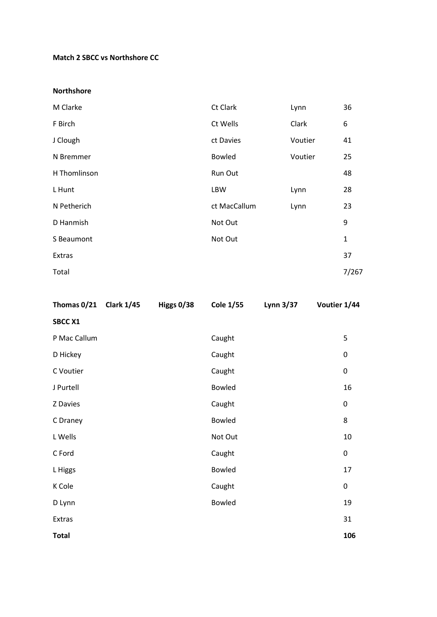### Match 2 SBCC vs Northshore CC

#### Northshore

| M Clarke     | Ct Clark      | Lynn    | 36           |
|--------------|---------------|---------|--------------|
| F Birch      | Ct Wells      | Clark   | 6            |
| J Clough     | ct Davies     | Voutier | 41           |
| N Bremmer    | <b>Bowled</b> | Voutier | 25           |
| H Thomlinson | Run Out       |         | 48           |
| L Hunt       | <b>LBW</b>    | Lynn    | 28           |
| N Petherich  | ct MacCallum  | Lynn    | 23           |
| D Hanmish    | Not Out       |         | 9            |
| S Beaumont   | Not Out       |         | $\mathbf{1}$ |
| Extras       |               |         | 37           |
| Total        |               |         | 7/267        |

| Thomas 0/21 Clark 1/45 | Higgs 0/38 | <b>Cole 1/55</b> | Lynn 3/37 | Voutier 1/44 |           |
|------------------------|------------|------------------|-----------|--------------|-----------|
| <b>SBCC X1</b>         |            |                  |           |              |           |
| P Mac Callum           |            | Caught           |           |              | 5         |
| D Hickey               |            | Caught           |           |              | $\pmb{0}$ |
| C Voutier              |            | Caught           |           |              | $\pmb{0}$ |
| J Purtell              |            | <b>Bowled</b>    |           |              | 16        |
| Z Davies               |            | Caught           |           |              | $\pmb{0}$ |
| C Draney               |            | Bowled           |           |              | 8         |
| L Wells                |            | Not Out          |           |              | 10        |
| C Ford                 |            | Caught           |           |              | $\pmb{0}$ |
| L Higgs                |            | Bowled           |           |              | 17        |
| K Cole                 |            | Caught           |           |              | $\pmb{0}$ |
| D Lynn                 |            | Bowled           |           |              | 19        |
| Extras                 |            |                  |           |              | 31        |
| <b>Total</b>           |            |                  |           |              | 106       |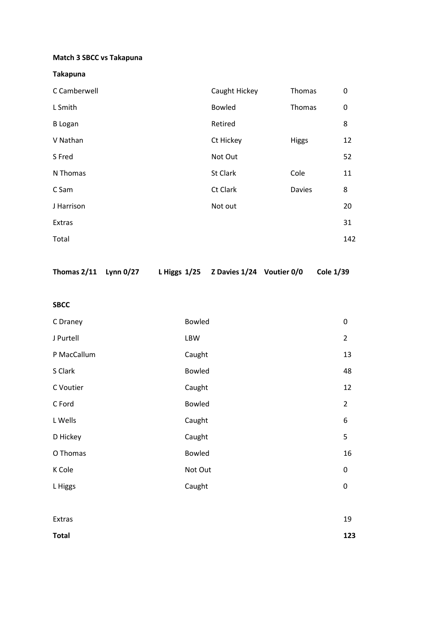## Match 3 SBCC vs Takapuna

## Takapuna

| L Smith<br><b>Bowled</b><br>Thomas<br>0<br>8<br>Retired<br><b>B</b> Logan<br>V Nathan<br>Ct Hickey<br>Higgs<br>12<br>S Fred<br>52<br>Not Out<br>Cole<br>St Clark<br>N Thomas<br>11<br>Ct Clark<br>8<br>C Sam<br><b>Davies</b><br>J Harrison<br>Not out<br>20<br>Extras<br>31<br>Total | C Camberwell | Caught Hickey | Thomas | 0   |
|---------------------------------------------------------------------------------------------------------------------------------------------------------------------------------------------------------------------------------------------------------------------------------------|--------------|---------------|--------|-----|
|                                                                                                                                                                                                                                                                                       |              |               |        |     |
|                                                                                                                                                                                                                                                                                       |              |               |        |     |
|                                                                                                                                                                                                                                                                                       |              |               |        |     |
|                                                                                                                                                                                                                                                                                       |              |               |        |     |
|                                                                                                                                                                                                                                                                                       |              |               |        |     |
|                                                                                                                                                                                                                                                                                       |              |               |        |     |
|                                                                                                                                                                                                                                                                                       |              |               |        |     |
|                                                                                                                                                                                                                                                                                       |              |               |        |     |
|                                                                                                                                                                                                                                                                                       |              |               |        | 142 |

Thomas 2/11 Lynn 0/27 L Higgs 1/25 Z Davies 1/24 Voutier 0/0 Cole 1/39

SBCC

| C Draney    | <b>Bowled</b> | $\mathbf 0$    |
|-------------|---------------|----------------|
| J Purtell   | LBW           | $\overline{2}$ |
| P MacCallum | Caught        | 13             |
| S Clark     | <b>Bowled</b> | 48             |
| C Voutier   | Caught        | 12             |
| C Ford      | <b>Bowled</b> | $\overline{2}$ |
| L Wells     | Caught        | 6              |
| D Hickey    | Caught        | 5              |
| O Thomas    | <b>Bowled</b> | 16             |
| K Cole      | Not Out       | $\mathbf 0$    |
| L Higgs     | Caught        | $\mathbf 0$    |
|             |               |                |

| Extras       | 19  |
|--------------|-----|
| <b>Total</b> | 123 |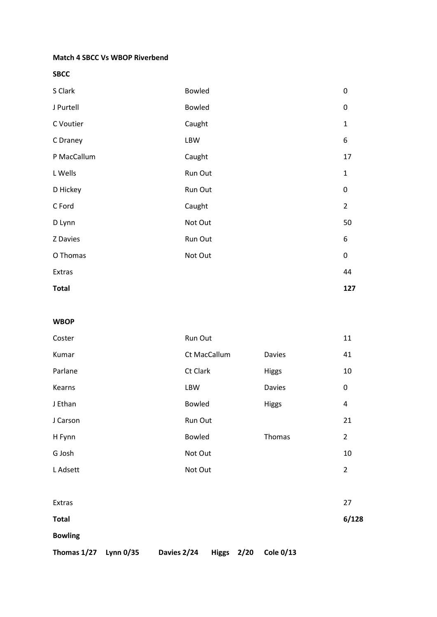#### Match 4 SBCC Vs WBOP Riverbend

SBCC

| <b>Total</b> |               | 127              |
|--------------|---------------|------------------|
| Extras       |               | 44               |
| O Thomas     | Not Out       | $\boldsymbol{0}$ |
| Z Davies     | Run Out       | 6                |
| D Lynn       | Not Out       | 50               |
| C Ford       | Caught        | $\overline{2}$   |
| D Hickey     | Run Out       | $\pmb{0}$        |
| L Wells      | Run Out       | $\mathbf{1}$     |
| P MacCallum  | Caught        | 17               |
| C Draney     | LBW           | 6                |
| C Voutier    | Caught        | $\mathbf 1$      |
| J Purtell    | <b>Bowled</b> | 0                |
| S Clark      | <b>Bowled</b> | 0                |

#### WBOP

| Coster       | Run Out       |               | 11             |
|--------------|---------------|---------------|----------------|
| Kumar        | Ct MacCallum  | <b>Davies</b> | 41             |
| Parlane      | Ct Clark      | Higgs         | 10             |
| Kearns       | LBW           | Davies        | 0              |
| J Ethan      | <b>Bowled</b> | Higgs         | 4              |
| J Carson     | Run Out       |               | 21             |
| H Fynn       | Bowled        | Thomas        | $\overline{2}$ |
| G Josh       | Not Out       |               | 10             |
| L Adsett     | Not Out       |               | $\overline{2}$ |
|              |               |               |                |
| Extras       |               |               | 27             |
| <b>Total</b> |               |               | 6/128          |

Bowling

Thomas 1/27 Lynn 0/35 Davies 2/24 Higgs 2/20 Cole 0/13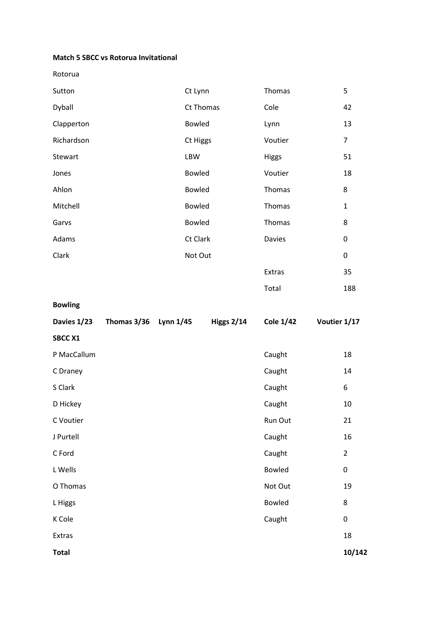### Match 5 SBCC vs Rotorua Invitational

Rotorua

| Sutton     | Ct Lynn       | Thomas       | 5                |
|------------|---------------|--------------|------------------|
| Dyball     | Ct Thomas     | Cole         | 42               |
| Clapperton | <b>Bowled</b> | Lynn         | 13               |
| Richardson | Ct Higgs      | Voutier      | 7                |
| Stewart    | LBW           | <b>Higgs</b> | 51               |
| Jones      | <b>Bowled</b> | Voutier      | 18               |
| Ahlon      | <b>Bowled</b> | Thomas       | 8                |
| Mitchell   | <b>Bowled</b> | Thomas       | $\mathbf{1}$     |
| Garvs      | Bowled        | Thomas       | 8                |
| Adams      | Ct Clark      | Davies       | 0                |
| Clark      | Not Out       |              | $\boldsymbol{0}$ |
|            |               | Extras       | 35               |
|            |               | Total        | 188              |

Bowling

| Davies 1/23    | Thomas 3/36 Lynn 1/45 | <b>Higgs 2/14</b> | <b>Cole 1/42</b> | Voutier 1/17 |                |
|----------------|-----------------------|-------------------|------------------|--------------|----------------|
| <b>SBCC X1</b> |                       |                   |                  |              |                |
| P MacCallum    |                       |                   | Caught           |              | 18             |
| C Draney       |                       |                   | Caught           |              | 14             |
| S Clark        |                       |                   | Caught           |              | 6              |
| D Hickey       |                       |                   | Caught           |              | 10             |
| C Voutier      |                       |                   | Run Out          |              | 21             |
| J Purtell      |                       |                   | Caught           |              | 16             |
| C Ford         |                       |                   | Caught           |              | $\overline{2}$ |
| L Wells        |                       |                   | <b>Bowled</b>    |              | $\mathbf 0$    |
| O Thomas       |                       |                   | Not Out          |              | 19             |
| L Higgs        |                       |                   | <b>Bowled</b>    |              | 8              |
| K Cole         |                       |                   | Caught           |              | $\pmb{0}$      |
| Extras         |                       |                   |                  |              | 18             |
| <b>Total</b>   |                       |                   |                  |              | 10/142         |